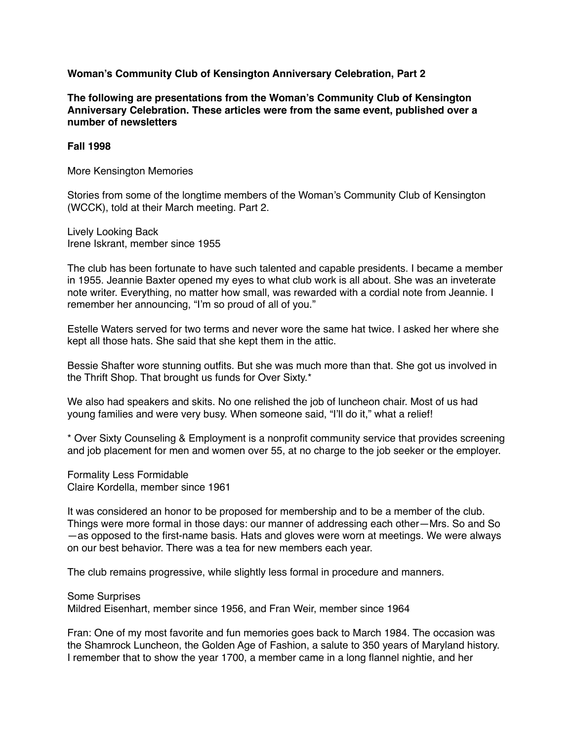**Woman's Community Club of Kensington Anniversary Celebration, Part 2**

**The following are presentations from the Woman's Community Club of Kensington Anniversary Celebration. These articles were from the same event, published over a number of newsletters**

**Fall 1998**

More Kensington Memories

Stories from some of the longtime members of the Woman's Community Club of Kensington (WCCK), told at their March meeting. Part 2.

Lively Looking Back Irene Iskrant, member since 1955

The club has been fortunate to have such talented and capable presidents. I became a member in 1955. Jeannie Baxter opened my eyes to what club work is all about. She was an inveterate note writer. Everything, no matter how small, was rewarded with a cordial note from Jeannie. I remember her announcing, "I'm so proud of all of you."

Estelle Waters served for two terms and never wore the same hat twice. I asked her where she kept all those hats. She said that she kept them in the attic.

Bessie Shafter wore stunning outfits. But she was much more than that. She got us involved in the Thrift Shop. That brought us funds for Over Sixty.\*

We also had speakers and skits. No one relished the job of luncheon chair. Most of us had young families and were very busy. When someone said, "I'll do it," what a relief!

\* Over Sixty Counseling & Employment is a nonprofit community service that provides screening and job placement for men and women over 55, at no charge to the job seeker or the employer.

Formality Less Formidable Claire Kordella, member since 1961

It was considered an honor to be proposed for membership and to be a member of the club. Things were more formal in those days: our manner of addressing each other—Mrs. So and So —as opposed to the first-name basis. Hats and gloves were worn at meetings. We were always on our best behavior. There was a tea for new members each year.

The club remains progressive, while slightly less formal in procedure and manners.

Some Surprises

Mildred Eisenhart, member since 1956, and Fran Weir, member since 1964

Fran: One of my most favorite and fun memories goes back to March 1984. The occasion was the Shamrock Luncheon, the Golden Age of Fashion, a salute to 350 years of Maryland history. I remember that to show the year 1700, a member came in a long flannel nightie, and her